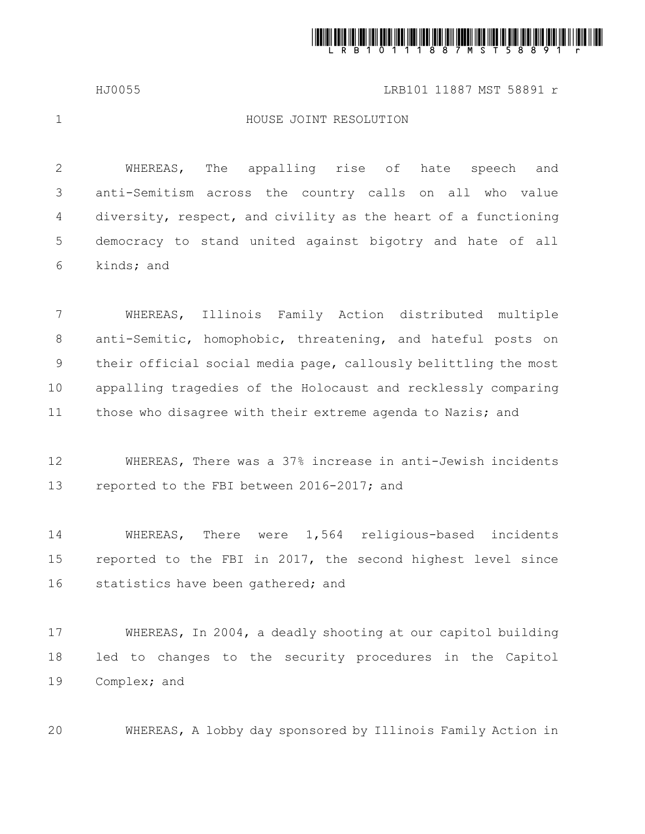

HJ0055 LRB101 11887 MST 58891 r

1

## HOUSE JOINT RESOLUTION

WHEREAS, The appalling rise of hate speech and anti-Semitism across the country calls on all who value diversity, respect, and civility as the heart of a functioning democracy to stand united against bigotry and hate of all kinds; and 2 3 4 5 6

WHEREAS, Illinois Family Action distributed multiple anti-Semitic, homophobic, threatening, and hateful posts on their official social media page, callously belittling the most appalling tragedies of the Holocaust and recklessly comparing those who disagree with their extreme agenda to Nazis; and 7 8 9 10 11

WHEREAS, There was a 37% increase in anti-Jewish incidents reported to the FBI between 2016-2017; and 12 13

WHEREAS, There were 1,564 religious-based incidents reported to the FBI in 2017, the second highest level since statistics have been gathered; and 14 15 16

WHEREAS, In 2004, a deadly shooting at our capitol building led to changes to the security procedures in the Capitol Complex; and 17 18 19

WHEREAS, A lobby day sponsored by Illinois Family Action in 20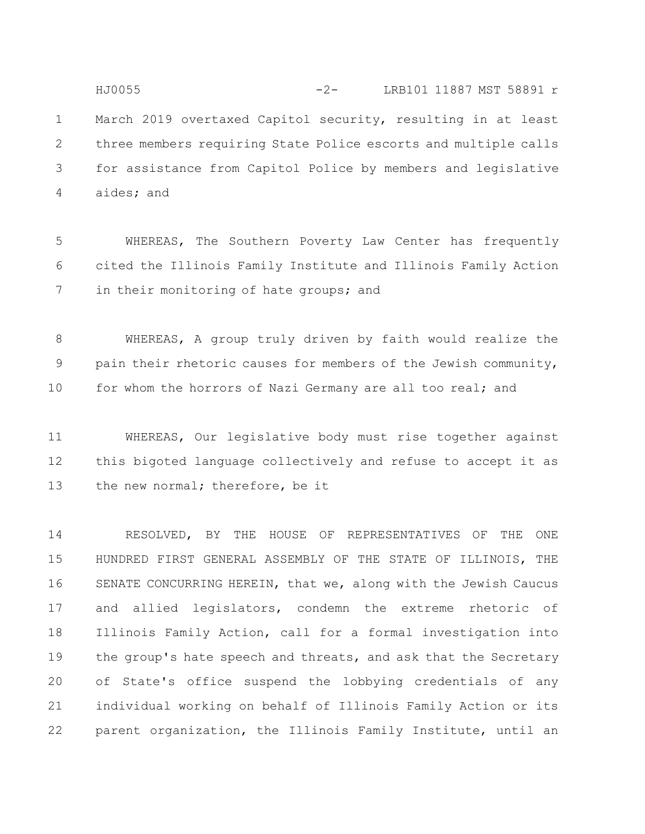March 2019 overtaxed Capitol security, resulting in at least three members requiring State Police escorts and multiple calls for assistance from Capitol Police by members and legislative aides; and 1 2 3 4 HJ0055 -2- LRB101 11887 MST 58891 r

WHEREAS, The Southern Poverty Law Center has frequently cited the Illinois Family Institute and Illinois Family Action in their monitoring of hate groups; and 5 6 7

WHEREAS, A group truly driven by faith would realize the pain their rhetoric causes for members of the Jewish community, for whom the horrors of Nazi Germany are all too real; and 8 9 10

WHEREAS, Our legislative body must rise together against this bigoted language collectively and refuse to accept it as the new normal; therefore, be it 11 12 13

RESOLVED, BY THE HOUSE OF REPRESENTATIVES OF THE ONE HUNDRED FIRST GENERAL ASSEMBLY OF THE STATE OF ILLINOIS, THE SENATE CONCURRING HEREIN, that we, along with the Jewish Caucus and allied legislators, condemn the extreme rhetoric of Illinois Family Action, call for a formal investigation into the group's hate speech and threats, and ask that the Secretary of State's office suspend the lobbying credentials of any individual working on behalf of Illinois Family Action or its parent organization, the Illinois Family Institute, until an 14 15 16 17 18 19 20 21 22